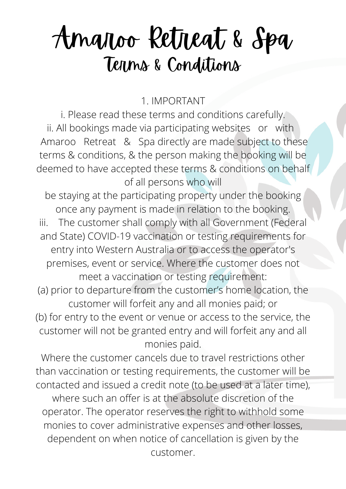1. IMPORTANT

i. Please read these terms and conditions carefully. ii. All bookings made via participating websites or with Amaroo Retreat & Spa directly are made subject to these terms & conditions, & the person making the booking will be deemed to have accepted these terms & conditions on behalf of all persons who will

be staying at the participating property under the booking once any payment is made in relation to the booking. iii. The customer shall comply with all Government (Federal and State) COVID-19 vaccination or testing requirements for entry into Western Australia or to access the operator's premises, event or service. Where the customer does not meet a vaccination or testing requirement: (a) prior to departure from the customer's home location, the customer will forfeit any and all monies paid; or (b) for entry to the event or venue or access to the service, the customer will not be granted entry and will forfeit any and all monies paid.

Where the customer cancels due to travel restrictions other than vaccination or testing requirements, the customer will be contacted and issued a credit note (to be used at a later time), where such an offer is at the absolute discretion of the operator. The operator reserves the right to withhold some monies to cover administrative expenses and other losses, dependent on when notice of cancellation is given by the customer.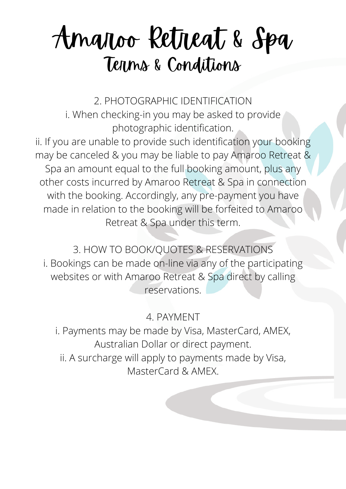2. PHOTOGRAPHIC IDENTIFICATION i. When checking-in you may be asked to provide photographic identification. ii. If you are unable to provide such identification your booking may be canceled & you may be liable to pay Amaroo Retreat & Spa an amount equal to the full booking amount, plus any other costs incurred by Amaroo Retreat & Spa in connection with the booking. Accordingly, any pre-payment you have made in relation to the booking will be forfeited to Amaroo Retreat & Spa under this term.

3. HOW TO BOOK/QUOTES & RESERVATIONS i. Bookings can be made on-line via any of the participating websites or with Amaroo Retreat & Spa direct by calling reservations.

4. PAYMENT

i. Payments may be made by Visa, MasterCard, AMEX, Australian Dollar or direct payment. ii. A surcharge will apply to payments made by Visa, MasterCard & AMEX.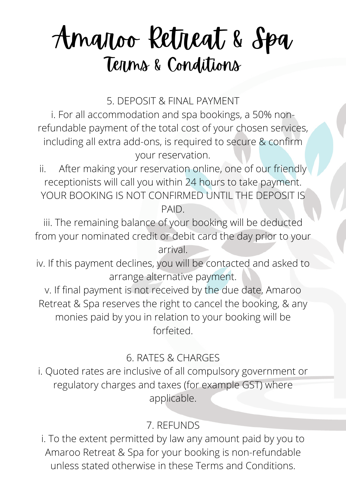5. DEPOSIT & FINAL PAYMENT

i. For all accommodation and spa bookings, a 50% nonrefundable payment of the total cost of your chosen services, including all extra add-ons, is required to secure & confirm your reservation.

ii. After making your reservation online, one of our friendly receptionists will call you within 24 hours to take payment. YOUR BOOKING IS NOT CONFIRMED UNTIL THE DEPOSIT IS PAID.

iii. The remaining balance of your booking will be deducted from your nominated credit or debit card the day prior to your arrival.

iv. If this payment declines, you will be contacted and asked to arrange alternative payment.

v. If final payment is not received by the due date, Amaroo Retreat & Spa reserves the right to cancel the booking, & any monies paid by you in relation to your booking will be forfeited.

#### 6. RATES & CHARGES

i. Quoted rates are inclusive of all compulsory government or regulatory charges and taxes (for example GST) where applicable.

#### 7. REFUNDS

i. To the extent permitted by law any amount paid by you to Amaroo Retreat & Spa for your booking is non-refundable unless stated otherwise in these Terms and Conditions.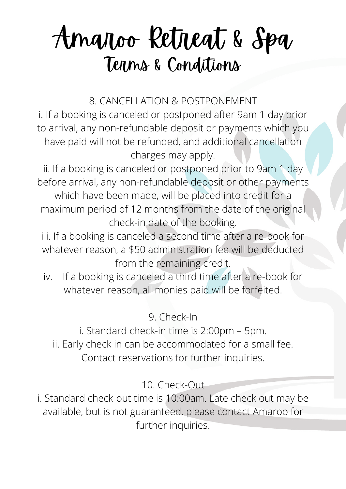8. CANCELLATION & POSTPONEMENT

i. If a booking is canceled or postponed after 9am 1 day prior to arrival, any non-refundable deposit or payments which you have paid will not be refunded, and additional cancellation charges may apply.

ii. If a booking is canceled or postponed prior to 9am 1 day before arrival, any non-refundable deposit or other payments

which have been made, will be placed into credit for a maximum period of 12 months from the date of the original check-in date of the booking.

iii. If a booking is canceled a second time after a re-book for whatever reason, a \$50 administration fee will be deducted from the remaining credit.

iv. If a booking is canceled a third time after a re-book for whatever reason, all monies paid will be forfeited.

9. Check-In

i. Standard check-in time is 2:00pm – 5pm. ii. Early check in can be accommodated for a small fee. Contact reservations for further inquiries.

10. Check-Out

i. Standard check-out time is 10:00am. Late check out may be available, but is not guaranteed, please contact Amaroo for further inquiries.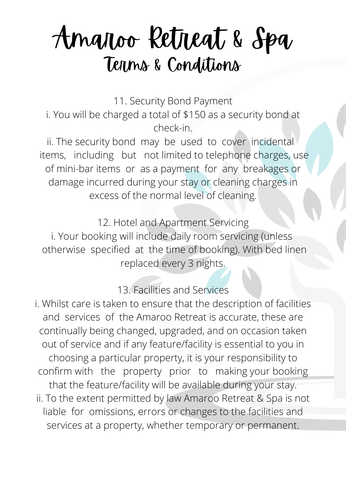11. Security Bond Payment

i. You will be charged a total of \$150 as a security bond at check-in.

ii. The security bond may be used to cover incidental items, including but not limited to telephone charges, use of mini-bar items or as a payment for any breakages or damage incurred during your stay or cleaning charges in excess of the normal level of cleaning.

12. Hotel and Apartment Servicing i. Your booking will include daily room servicing (unless otherwise specified at the time of booking). With bed linen replaced every 3 nights.

13. Facilities and Services

i. Whilst care is taken to ensure that the description of facilities and services of the Amaroo Retreat is accurate, these are continually being changed, upgraded, and on occasion taken out of service and if any feature/facility is essential to you in choosing a particular property, it is your responsibility to confirm with the property prior to making your booking that the feature/facility will be available during your stay. ii. To the extent permitted by law Amaroo Retreat & Spa is not liable for omissions, errors or changes to the facilities and services at a property, whether temporary or permanent.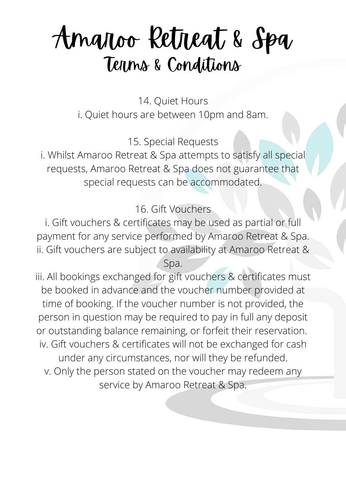14. Quiet Hours i. Quiet hours are between 10pm and 8am.

15. Special Requests

i. Whilst Amaroo Retreat & Spa attempts to satisfy all special requests, Amaroo Retreat & Spa does not guarantee that special requests can be accommodated.

16. Gift Vouchers

i. Gift vouchers & certificates may be used as partial or full payment for any service performed by Amaroo Retreat & Spa. ii. Gift vouchers are subject to availability at Amaroo Retreat &

Spa.

iii. All bookings exchanged for gift vouchers & certificates must be booked in advance and the voucher number provided at time of booking. If the voucher number is not provided, the person in question may be required to pay in full any deposit or outstanding balance remaining, or forfeit their reservation. iv. Gift vouchers & certificates will not be exchanged for cash under any circumstances, nor will they be refunded. v. Only the person stated on the voucher may redeem any service by Amaroo Retreat & Spa.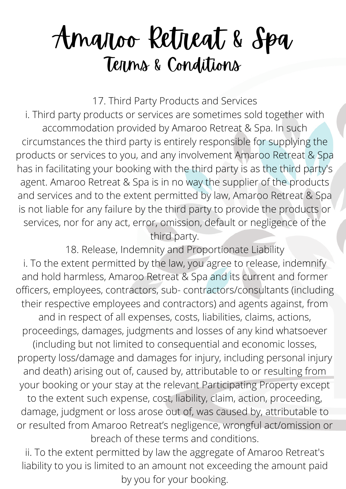17. Third Party Products and Services

i. Third party products or services are sometimes sold together with accommodation provided by Amaroo Retreat & Spa. In such circumstances the third party is entirely responsible for supplying the products or services to you, and any involvement Amaroo Retreat & Spa has in facilitating your booking with the third party is as the third party's agent. Amaroo Retreat & Spa is in no way the supplier of the products and services and to the extent permitted by law, Amaroo Retreat & Spa is not liable for any failure by the third party to provide the products or services, nor for any act, error, omission, default or negligence of the third party.

18. Release, Indemnity and Proportionate Liability i. To the extent permitted by the law, you agree to release, indemnify and hold harmless, Amaroo Retreat & Spa and its current and former officers, employees, contractors, sub- contractors/consultants (including their respective employees and contractors) and agents against, from and in respect of all expenses, costs, liabilities, claims, actions, proceedings, damages, judgments and losses of any kind whatsoever (including but not limited to consequential and economic losses, property loss/damage and damages for injury, including personal injury and death) arising out of, caused by, attributable to or resulting from your booking or your stay at the relevant Participating Property except to the extent such expense, cost, liability, claim, action, proceeding, damage, judgment or loss arose out of, was caused by, attributable to or resulted from Amaroo Retreat's negligence, wrongful act/omission or breach of these terms and conditions.

ii. To the extent permitted by law the aggregate of Amaroo Retreat's liability to you is limited to an amount not exceeding the amount paid by you for your booking.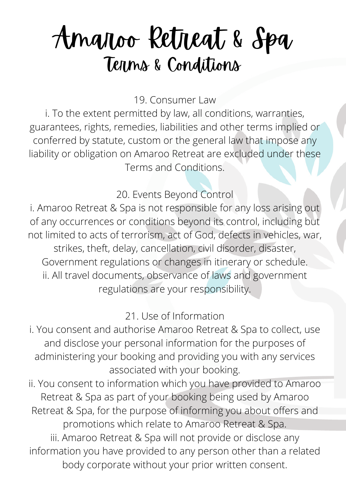19. Consumer Law

i. To the extent permitted by law, all conditions, warranties, guarantees, rights, remedies, liabilities and other terms implied or conferred by statute, custom or the general law that impose any liability or obligation on Amaroo Retreat are excluded under these Terms and Conditions.

20. Events Beyond Control

i. Amaroo Retreat & Spa is not responsible for any loss arising out of any occurrences or conditions beyond its control, including but not limited to acts of terrorism, act of God, defects in vehicles, war, strikes, theft, delay, cancellation, civil disorder, disaster, Government regulations or changes in itinerary or schedule. ii. All travel documents, observance of laws and government regulations are your responsibility.

21. Use of Information

i. You consent and authorise Amaroo Retreat & Spa to collect, use and disclose your personal information for the purposes of administering your booking and providing you with any services associated with your booking.

ii. You consent to information which you have provided to Amaroo Retreat & Spa as part of your booking being used by Amaroo Retreat & Spa, for the purpose of informing you about offers and promotions which relate to Amaroo Retreat & Spa. iii. Amaroo Retreat & Spa will not provide or disclose any information you have provided to any person other than a related

body corporate without your prior written consent.